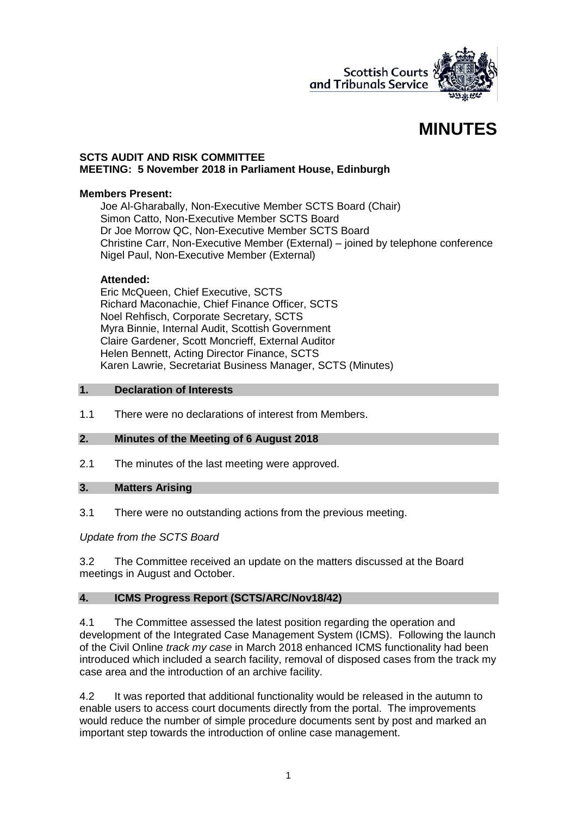

# **MINUTES**

#### **SCTS AUDIT AND RISK COMMITTEE MEETING: 5 November 2018 in Parliament House, Edinburgh**

#### **Members Present:**

Joe Al-Gharabally, Non-Executive Member SCTS Board (Chair) Simon Catto, Non-Executive Member SCTS Board Dr Joe Morrow QC, Non-Executive Member SCTS Board Christine Carr, Non-Executive Member (External) – joined by telephone conference Nigel Paul, Non-Executive Member (External)

#### **Attended:**

Eric McQueen, Chief Executive, SCTS Richard Maconachie, Chief Finance Officer, SCTS Noel Rehfisch, Corporate Secretary, SCTS Myra Binnie, Internal Audit, Scottish Government Claire Gardener, Scott Moncrieff, External Auditor Helen Bennett, Acting Director Finance, SCTS Karen Lawrie, Secretariat Business Manager, SCTS (Minutes)

#### **1. Declaration of Interests**

1.1 There were no declarations of interest from Members.

#### **2. Minutes of the Meeting of 6 August 2018**

2.1 The minutes of the last meeting were approved.

#### **3. Matters Arising**

3.1 There were no outstanding actions from the previous meeting.

## *Update from the SCTS Board*

3.2 The Committee received an update on the matters discussed at the Board meetings in August and October.

## **4. ICMS Progress Report (SCTS/ARC/Nov18/42)**

4.1 The Committee assessed the latest position regarding the operation and development of the Integrated Case Management System (ICMS). Following the launch of the Civil Online *track my case* in March 2018 enhanced ICMS functionality had been introduced which included a search facility, removal of disposed cases from the track my case area and the introduction of an archive facility.

4.2 It was reported that additional functionality would be released in the autumn to enable users to access court documents directly from the portal. The improvements would reduce the number of simple procedure documents sent by post and marked an important step towards the introduction of online case management.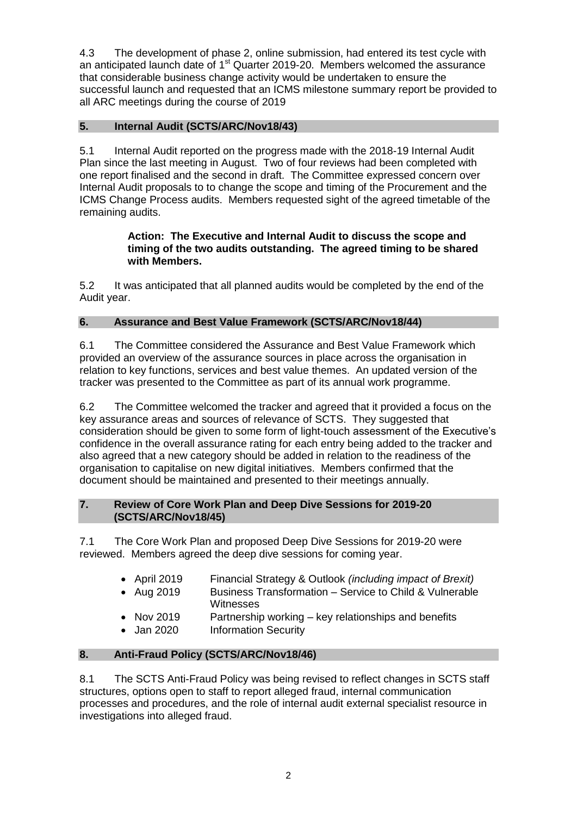4.3 The development of phase 2, online submission, had entered its test cycle with an anticipated launch date of  $1<sup>st</sup>$  Quarter 2019-20. Members welcomed the assurance that considerable business change activity would be undertaken to ensure the successful launch and requested that an ICMS milestone summary report be provided to all ARC meetings during the course of 2019

# **5. Internal Audit (SCTS/ARC/Nov18/43)**

5.1 Internal Audit reported on the progress made with the 2018-19 Internal Audit Plan since the last meeting in August. Two of four reviews had been completed with one report finalised and the second in draft. The Committee expressed concern over Internal Audit proposals to to change the scope and timing of the Procurement and the ICMS Change Process audits. Members requested sight of the agreed timetable of the remaining audits.

#### **Action: The Executive and Internal Audit to discuss the scope and timing of the two audits outstanding. The agreed timing to be shared with Members.**

5.2 It was anticipated that all planned audits would be completed by the end of the Audit year.

## **6. Assurance and Best Value Framework (SCTS/ARC/Nov18/44)**

6.1 The Committee considered the Assurance and Best Value Framework which provided an overview of the assurance sources in place across the organisation in relation to key functions, services and best value themes. An updated version of the tracker was presented to the Committee as part of its annual work programme.

6.2 The Committee welcomed the tracker and agreed that it provided a focus on the key assurance areas and sources of relevance of SCTS. They suggested that consideration should be given to some form of light-touch assessment of the Executive's confidence in the overall assurance rating for each entry being added to the tracker and also agreed that a new category should be added in relation to the readiness of the organisation to capitalise on new digital initiatives. Members confirmed that the document should be maintained and presented to their meetings annually.

## **7. Review of Core Work Plan and Deep Dive Sessions for 2019-20 (SCTS/ARC/Nov18/45)**

7.1 The Core Work Plan and proposed Deep Dive Sessions for 2019-20 were reviewed. Members agreed the deep dive sessions for coming year.

- April 2019 Financial Strategy & Outlook *(including impact of Brexit)*
- Aug 2019 Business Transformation Service to Child & Vulnerable Witnesses
- Nov 2019 Partnership working key relationships and benefits
- Jan 2020 Information Security

## **8. Anti-Fraud Policy (SCTS/ARC/Nov18/46)**

8.1 The SCTS Anti-Fraud Policy was being revised to reflect changes in SCTS staff structures, options open to staff to report alleged fraud, internal communication processes and procedures, and the role of internal audit external specialist resource in investigations into alleged fraud.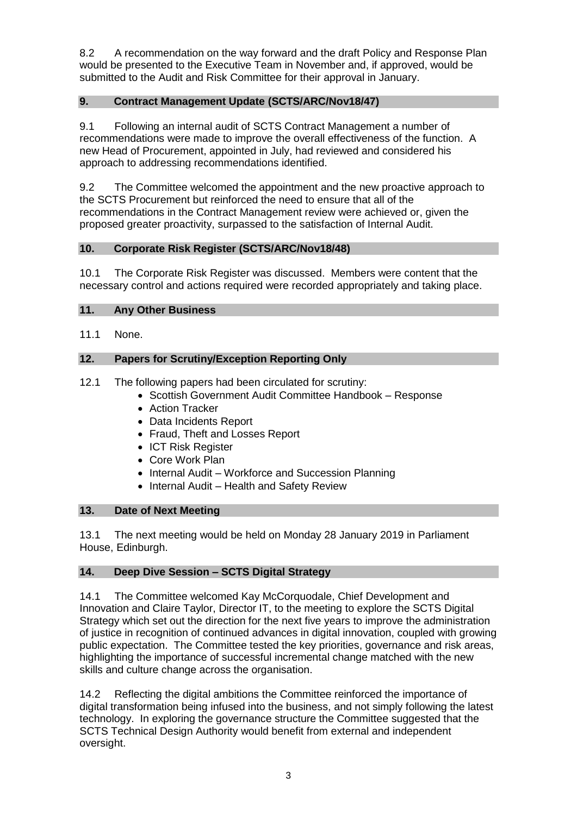8.2 A recommendation on the way forward and the draft Policy and Response Plan would be presented to the Executive Team in November and, if approved, would be submitted to the Audit and Risk Committee for their approval in January.

## **9. Contract Management Update (SCTS/ARC/Nov18/47)**

9.1 Following an internal audit of SCTS Contract Management a number of recommendations were made to improve the overall effectiveness of the function. A new Head of Procurement, appointed in July, had reviewed and considered his approach to addressing recommendations identified.

9.2 The Committee welcomed the appointment and the new proactive approach to the SCTS Procurement but reinforced the need to ensure that all of the recommendations in the Contract Management review were achieved or, given the proposed greater proactivity, surpassed to the satisfaction of Internal Audit.

## **10. Corporate Risk Register (SCTS/ARC/Nov18/48)**

10.1 The Corporate Risk Register was discussed. Members were content that the necessary control and actions required were recorded appropriately and taking place.

## **11. Any Other Business**

11.1 None.

## **12. Papers for Scrutiny/Exception Reporting Only**

12.1 The following papers had been circulated for scrutiny:

- Scottish Government Audit Committee Handbook Response
- Action Tracker
- Data Incidents Report
- Fraud, Theft and Losses Report
- ICT Risk Register
- Core Work Plan
- Internal Audit Workforce and Succession Planning
- Internal Audit Health and Safety Review

## **13. Date of Next Meeting**

13.1 The next meeting would be held on Monday 28 January 2019 in Parliament House, Edinburgh.

## **14. Deep Dive Session – SCTS Digital Strategy**

14.1 The Committee welcomed Kay McCorquodale, Chief Development and Innovation and Claire Taylor, Director IT, to the meeting to explore the SCTS Digital Strategy which set out the direction for the next five years to improve the administration of justice in recognition of continued advances in digital innovation, coupled with growing public expectation. The Committee tested the key priorities, governance and risk areas, highlighting the importance of successful incremental change matched with the new skills and culture change across the organisation.

14.2 Reflecting the digital ambitions the Committee reinforced the importance of digital transformation being infused into the business, and not simply following the latest technology. In exploring the governance structure the Committee suggested that the SCTS Technical Design Authority would benefit from external and independent oversight.